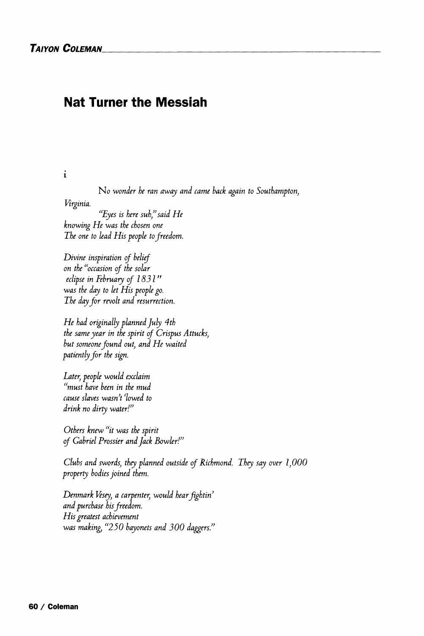## **Nat Turner the Messiah**

**i** 

No *wonder he ran away and came hack again to Southampton,* 

*Virginia.* 

*"Eyes is here suh" said He knowing He was the chosen one The one to lead His people to freedom.* 

*Divine inspiration of belief on the "occasion of the solar eclipse in February of 1831" was the day to let His people go. The day for revolt and resurrection.* 

*He had originally planned July 4th the same year in the spirit of Crispus Attucks, but someone found out, and He waited patiently for the sign.* 

*Later, people would exclaim "must have been in the mud cause slaves wasnt (lowed to drink no dirty water!<sup>v</sup>*

*Others knew "it was the spirit of Gabriel Prossier and Jack Bowler!})* 

*Clubs and swords, they planned outside of Richmond. They say over 1,000 property bodies joined them.* 

*Denmark Vesey, a carpenter, would hearfightin} and purchase his freedom. His greatest achievement was making, "250 bayonets and 300 daggers.^*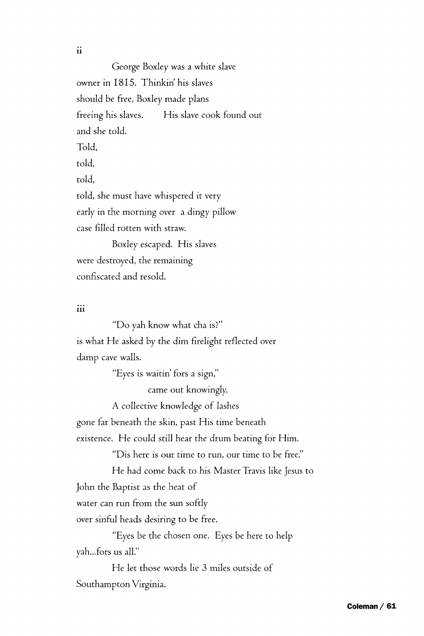**11** 

George Boxley was a white slave owner in 1815. Thinkin' his slaves should be free, Boxley made plans freeing his slaves. His slave cook found out and she told. Told, told, told, told, she must have whispered it very early in the morning over a dingy pillow case filled rotten with straw. Boxley escaped. His slaves

were destroyed, the remaining confiscated and resold.

## iii

"Do yah know what cha is?" is what He asked by the dim firelight reflected over damp cave walls.

"Eyes is waitin' fors a sign,"

came out knowingly.

A collective knowledge *of* lashes

gone far beneath the skin, past His time beneath

existence. He could still hear the drum beating for Him.

"Dis here is our time to run, our time to be free."

He had come back to his Master Travis like Jesus to John the Baptist as the heat of

water can run from the sun softly

over sinful heads desiring to be free.

"Eyes be the chosen one. Eyes be here to help yah...fors us all."

He let those words lie 3 miles outside of Southampton Virginia.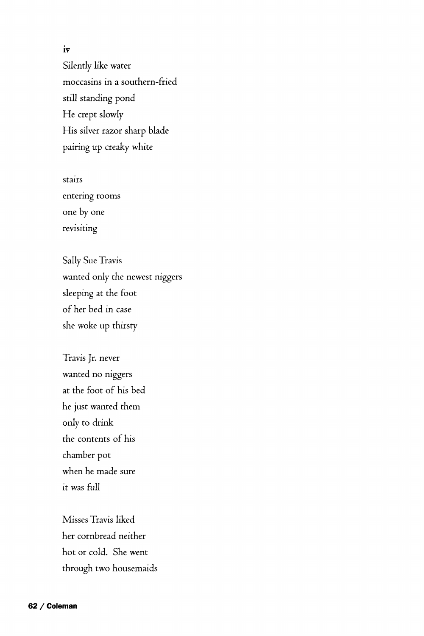**IV**  Silently like water moccasins in a southern-fried still standing pond He crept slowly His silver razor sharp blade pairing up creaky white

stairs entering rooms one by one revisiting

Sally Sue Travis wanted only the newest niggers sleeping at the foot of her bed in case she woke up thirsty

Travis Jr. never wanted no niggers at the foot of his bed he just wanted them only to drink the contents of his chamber pot when he made sure it was full

Misses Travis liked her cornbread neither hot or cold. She went through two housemaids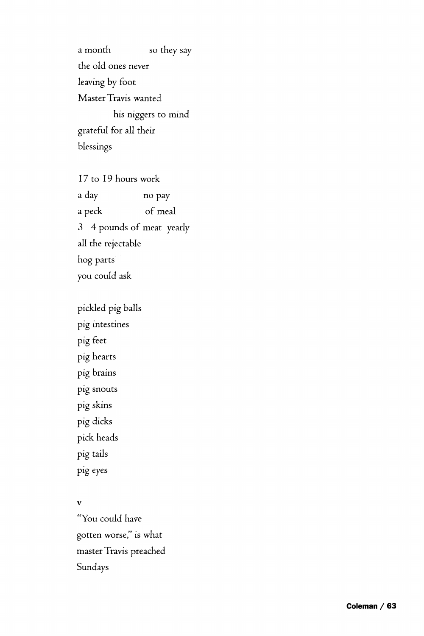a month so they say the old ones never leaving by foot Master Travis wanted his niggers to mind grateful for all their blessings

17 to 19 hours work a day no pay a peck of meal 3 4 pounds of meat yearly all the rejectable hog parts you could ask

pickled pig balls pig intestines pig feet pig hearts pig brains pig snouts pig skins pig dicks pick heads pig tails pig eyes

## v

"You could have gotten worse/' is what master Travis preached Sundays